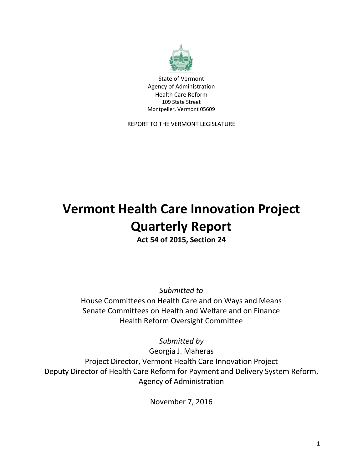

State of Vermont Agency of Administration Health Care Reform 109 State Street Montpelier, Vermont 05609

REPORT TO THE VERMONT LEGISLATURE

# **Vermont Health Care Innovation Project Quarterly Report**

**Act 54 of 2015, Section 24**

*Submitted to*

House Committees on Health Care and on Ways and Means Senate Committees on Health and Welfare and on Finance Health Reform Oversight Committee

*Submitted by*

Georgia J. Maheras Project Director, Vermont Health Care Innovation Project Deputy Director of Health Care Reform for Payment and Delivery System Reform, Agency of Administration

November 7, 2016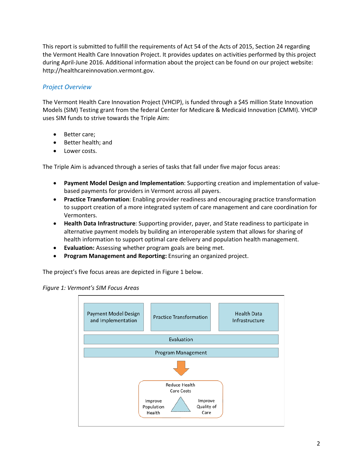This report is submitted to fulfill the requirements of Act 54 of the Acts of 2015, Section 24 regarding the Vermont Health Care Innovation Project. It provides updates on activities performed by this project during April-June 2016. Additional information about the project can be found on our project website: http://healthcareinnovation.vermont.gov.

## *Project Overview*

The Vermont Health Care Innovation Project (VHCIP), is funded through a \$45 million State Innovation Models (SIM) Testing grant from the federal Center for Medicare & Medicaid Innovation (CMMI). VHCIP uses SIM funds to strive towards the Triple Aim:

- Better care;
- Better health; and
- Lower costs.

The Triple Aim is advanced through a series of tasks that fall under five major focus areas:

- **Payment Model Design and Implementation**: Supporting creation and implementation of valuebased payments for providers in Vermont across all payers.
- **Practice Transformation**: Enabling provider readiness and encouraging practice transformation to support creation of a more integrated system of care management and care coordination for Vermonters.
- **Health Data Infrastructure**: Supporting provider, payer, and State readiness to participate in alternative payment models by building an interoperable system that allows for sharing of health information to support optimal care delivery and population health management.
- **Evaluation:** Assessing whether program goals are being met.
- **Program Management and Reporting:** Ensuring an organized project.

The project's five focus areas are depicted in Figure 1 below.



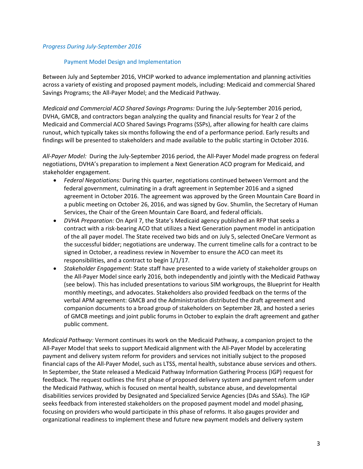#### *Progress During July-September 2016*

#### Payment Model Design and Implementation

Between July and September 2016, VHCIP worked to advance implementation and planning activities across a variety of existing and proposed payment models, including: Medicaid and commercial Shared Savings Programs; the All-Payer Model; and the Medicaid Pathway.

*Medicaid and Commercial ACO Shared Savings Programs:* During the July-September 2016 period, DVHA, GMCB, and contractors began analyzing the quality and financial results for Year 2 of the Medicaid and Commercial ACO Shared Savings Programs (SSPs), after allowing for health care claims runout, which typically takes six months following the end of a performance period. Early results and findings will be presented to stakeholders and made available to the public starting in October 2016.

*All-Payer Model:* During the July-September 2016 period, the All-Payer Model made progress on federal negotiations, DVHA's preparation to implement a Next Generation ACO program for Medicaid, and stakeholder engagement.

- *Federal Negotiations:* During this quarter, negotiations continued between Vermont and the federal government, culminating in a draft agreement in September 2016 and a signed agreement in October 2016. The agreement was approved by the Green Mountain Care Board in a public meeting on October 26, 2016, and was signed by Gov. Shumlin, the Secretary of Human Services, the Chair of the Green Mountain Care Board, and federal officials.
- *DVHA Preparation:* On April 7, the State's Medicaid agency published an RFP that seeks a contract with a risk-bearing ACO that utilizes a Next Generation payment model in anticipation of the all payer model. The State received two bids and on July 5, selected OneCare Vermont as the successful bidder; negotiations are underway. The current timeline calls for a contract to be signed in October, a readiness review in November to ensure the ACO can meet its responsibilities, and a contract to begin 1/1/17.
- *Stakeholder Engagement:* State staff have presented to a wide variety of stakeholder groups on the All-Payer Model since early 2016, both independently and jointly with the Medicaid Pathway (see below). This has included presentations to various SIM workgroups, the Blueprint for Health monthly meetings, and advocates. Stakeholders also provided feedback on the terms of the verbal APM agreement: GMCB and the Administration distributed the draft agreement and companion documents to a broad group of stakeholders on September 28, and hosted a series of GMCB meetings and joint public forums in October to explain the draft agreement and gather public comment.

*Medicaid Pathway:* Vermont continues its work on the Medicaid Pathway, a companion project to the All-Payer Model that seeks to support Medicaid alignment with the All-Payer Model by accelerating payment and delivery system reform for providers and services not initially subject to the proposed financial caps of the All-Payer Model, such as LTSS, mental health, substance abuse services and others. In September, the State released a Medicaid Pathway Information Gathering Process (IGP) request for feedback. The request outlines the first phase of proposed delivery system and payment reform under the Medicaid Pathway, which is focused on mental health, substance abuse, and developmental disabilities services provided by Designated and Specialized Service Agencies (DAs and SSAs). The IGP seeks feedback from interested stakeholders on the proposed payment model and model phasing, focusing on providers who would participate in this phase of reforms. It also gauges provider and organizational readiness to implement these and future new payment models and delivery system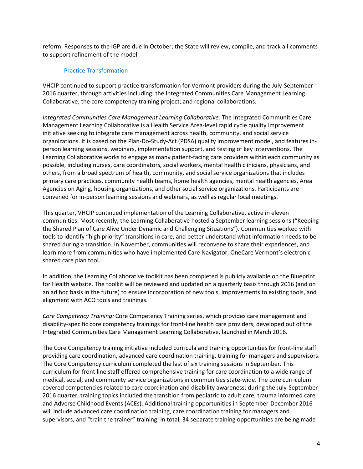reform. Responses to the IGP are due in October; the State will review, compile, and track all comments to support refinement of the model.

#### Practice Transformation

VHCIP continued to support practice transformation for Vermont providers during the July-September 2016 quarter, through activities including: the Integrated Communities Care Management Learning Collaborative; the core competency training project; and regional collaborations.

*Integrated Communities Care Management Learning Collaborative:* The Integrated Communities Care Management Learning Collaborative is a Health Service Area-level rapid cycle quality improvement initiative seeking to integrate care management across health, community, and social service organizations. It is based on the Plan-Do-Study-Act (PDSA) quality improvement model, and features inperson learning sessions, webinars, implementation support, and testing of key interventions. The Learning Collaborative works to engage as many patient-facing care providers within each community as possible, including nurses, care coordinators, social workers, mental health clinicians, physicians, and others, from a broad spectrum of health, community, and social service organizations that includes primary care practices, community health teams, home health agencies, mental health agencies, Area Agencies on Aging, housing organizations, and other social service organizations. Participants are convened for in-person learning sessions and webinars, as well as regular local meetings.

This quarter, VHCIP continued implementation of the Learning Collaborative, active in eleven communities. Most recently, the Learning Collaborative hosted a September learning sessions ("Keeping the Shared Plan of Care Alive Under Dynamic and Challenging Situations"). Communities worked with tools to identify "high priority" transitions in care, and better understand what information needs to be shared during a transition. In November, communities will reconvene to share their experiences, and learn more from communities who have implemented Care Navigator, OneCare Vermont's electronic shared care plan tool.

In addition, the Learning Collaborative toolkit has been completed is publicly available on the Blueprint for Health website. The toolkit will be reviewed and updated on a quarterly basis through 2016 (and on an ad hoc basis in the future) to ensure incorporation of new tools, improvements to existing tools, and alignment with ACO tools and trainings.

*Core Competency Training:* Core Competency Training series, which provides care management and disability-specific core competency trainings for front-line health care providers, developed out of the Integrated Communities Care Management Learning Collaborative, launched in March 2016.

The Core Competency training initiative included curricula and training opportunities for front-line staff providing care coordination, advanced care coordination training, training for managers and supervisors. The Core Competency curriculum completed the last of six training sessions in September. This curriculum for front line staff offered comprehensive training for care coordination to a wide range of medical, social, and community service organizations in communities state-wide. The core curriculum covered competencies related to care coordination and disability awareness; during the July-September 2016 quarter, training topics included the transition from pediatric to adult care, trauma informed care and Adverse Childhood Events (ACEs). Additional training opportunities in September-December 2016 will include advanced care coordination training, care coordination training for managers and supervisors, and "train the trainer" training. In total, 34 separate training opportunities are being made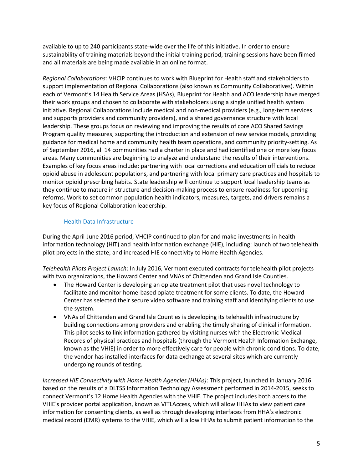available to up to 240 participants state-wide over the life of this initiative. In order to ensure sustainability of training materials beyond the initial training period, training sessions have been filmed and all materials are being made available in an online format.

*Regional Collaborations:* VHCIP continues to work with Blueprint for Health staff and stakeholders to support implementation of Regional Collaborations (also known as Community Collaboratives). Within each of Vermont's 14 Health Service Areas (HSAs), Blueprint for Health and ACO leadership have merged their work groups and chosen to collaborate with stakeholders using a single unified health system initiative. Regional Collaborations include medical and non-medical providers (e.g., long-term services and supports providers and community providers), and a shared governance structure with local leadership. These groups focus on reviewing and improving the results of core ACO Shared Savings Program quality measures, supporting the introduction and extension of new service models, providing guidance for medical home and community health team operations, and community priority-setting. As of September 2016, all 14 communities had a charter in place and had identified one or more key focus areas. Many communities are beginning to analyze and understand the results of their interventions. Examples of key focus areas include: partnering with local corrections and education officials to reduce opioid abuse in adolescent populations, and partnering with local primary care practices and hospitals to monitor opioid prescribing habits. State leadership will continue to support local leadership teams as they continue to mature in structure and decision-making process to ensure readiness for upcoming reforms. Work to set common population health indicators, measures, targets, and drivers remains a key focus of Regional Collaboration leadership.

## Health Data Infrastructure

During the April-June 2016 period, VHCIP continued to plan for and make investments in health information technology (HIT) and health information exchange (HIE), including: launch of two telehealth pilot projects in the state; and increased HIE connectivity to Home Health Agencies.

*Telehealth Pilots Project Launch*: In July 2016, Vermont executed contracts for telehealth pilot projects with two organizations, the Howard Center and VNAs of Chittenden and Grand Isle Counties.

- The Howard Center is developing an opiate treatment pilot that uses novel technology to facilitate and monitor home-based opiate treatment for some clients. To date, the Howard Center has selected their secure video software and training staff and identifying clients to use the system.
- VNAs of Chittenden and Grand Isle Counties is developing its telehealth infrastructure by building connections among providers and enabling the timely sharing of clinical information. This pilot seeks to link information gathered by visiting nurses with the Electronic Medical Records of physical practices and hospitals (through the Vermont Health Information Exchange, known as the VHIE) in order to more effectively care for people with chronic conditions. To date, the vendor has installed interfaces for data exchange at several sites which are currently undergoing rounds of testing.

*Increased HIE Connectivity with Home Health Agencies (HHAs)*: This project, launched in January 2016 based on the results of a DLTSS Information Technology Assessment performed in 2014-2015, seeks to connect Vermont's 12 Home Health Agencies with the VHIE. The project includes both access to the VHIE's provider portal application, known as VITLAccess, which will allow HHAs to view patient care information for consenting clients, as well as through developing interfaces from HHA's electronic medical record (EMR) systems to the VHIE, which will allow HHAs to submit patient information to the